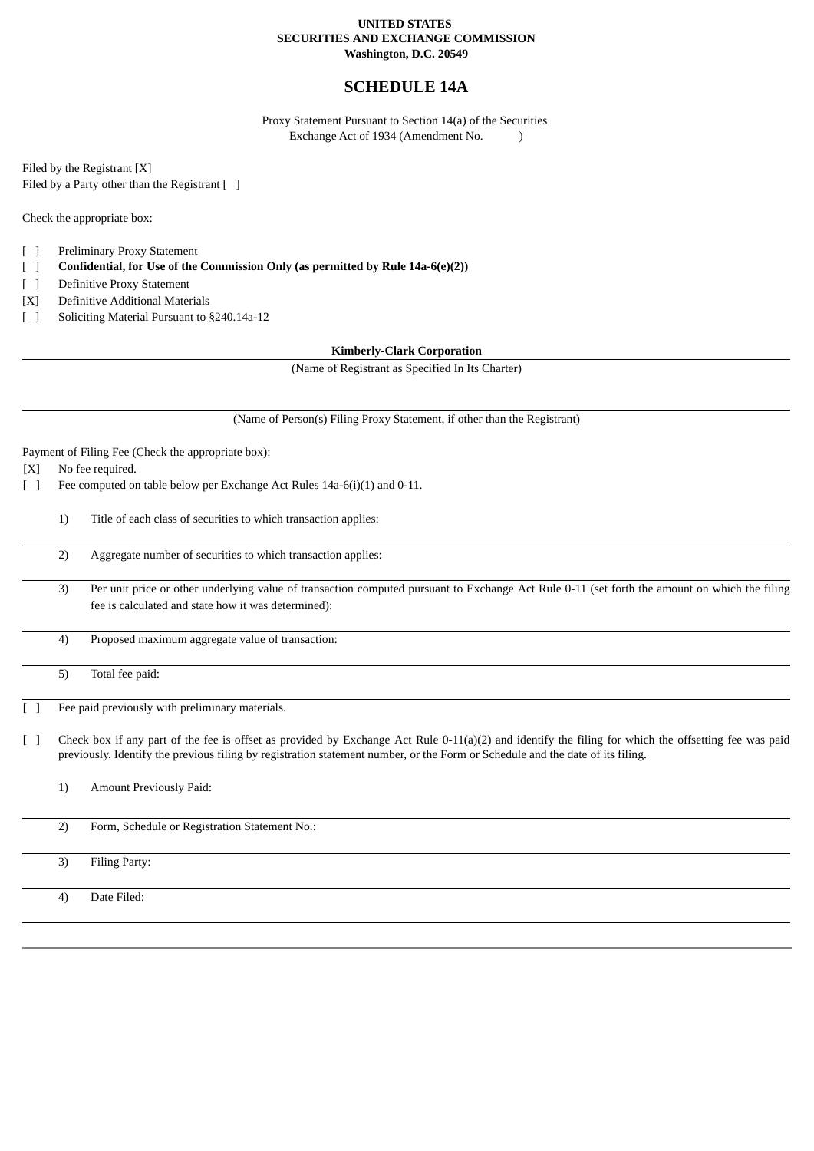#### **UNITED STATES SECURITIES AND EXCHANGE COMMISSION Washington, D.C. 20549**

# **SCHEDULE 14A**

Proxy Statement Pursuant to Section 14(a) of the Securities Exchange Act of 1934 (Amendment No. )

Filed by the Registrant [X] Filed by a Party other than the Registrant [ ]

Check the appropriate box:

- [ ] Preliminary Proxy Statement
- [ ] **Confidential, for Use of the Commission Only (as permitted by Rule 14a-6(e)(2))**
- [ ] Definitive Proxy Statement
- [X] Definitive Additional Materials
- [ ] Soliciting Material Pursuant to §240.14a-12

**Kimberly-Clark Corporation**

(Name of Registrant as Specified In Its Charter)

(Name of Person(s) Filing Proxy Statement, if other than the Registrant)

Payment of Filing Fee (Check the appropriate box):

[X] No fee required.

[ ] Fee computed on table below per Exchange Act Rules 14a-6(i)(1) and 0-11.

- 1) Title of each class of securities to which transaction applies:
	- 2) Aggregate number of securities to which transaction applies:
- 3) Per unit price or other underlying value of transaction computed pursuant to Exchange Act Rule 0-11 (set forth the amount on which the filing fee is calculated and state how it was determined):
- 4) Proposed maximum aggregate value of transaction:
- 5) Total fee paid:

Fee paid previously with preliminary materials.

- [ ] Check box if any part of the fee is offset as provided by Exchange Act Rule 0-11(a)(2) and identify the filing for which the offsetting fee was paid previously. Identify the previous filing by registration statement number, or the Form or Schedule and the date of its filing.
	- 1) Amount Previously Paid:
	- 2) Form, Schedule or Registration Statement No.:
	- 3) Filing Party:

4) Date Filed: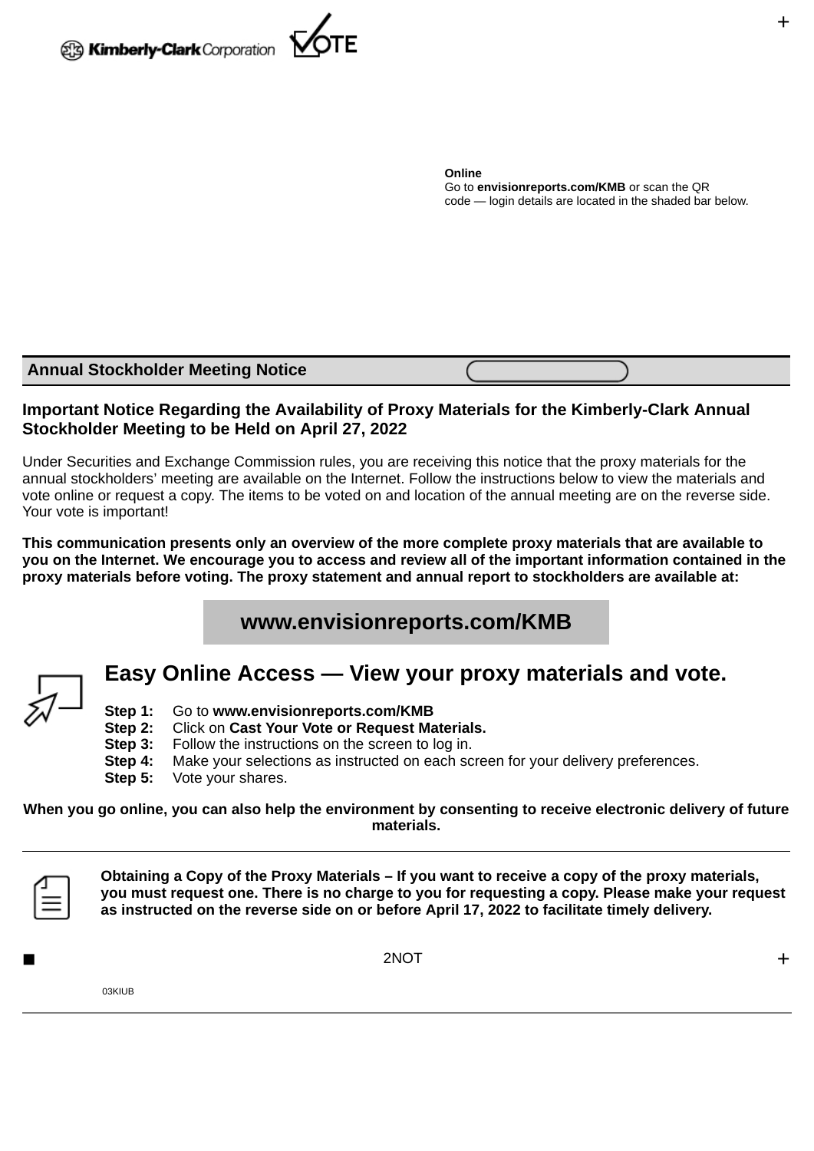

**Online** Go to **envisionreports.com/KMB** or scan the QR code — login details are located in the shaded bar below.

### **Annual Stockholder Meeting Notice**

# **Important Notice Regarding the Availability of Proxy Materials for the Kimberly-Clark Annual Stockholder Meeting to be Held on April 27, 2022**

Under Securities and Exchange Commission rules, you are receiving this notice that the proxy materials for the annual stockholders' meeting are available on the Internet. Follow the instructions below to view the materials and vote online or request a copy. The items to be voted on and location of the annual meeting are on the reverse side. Your vote is important!

**This communication presents only an overview of the more complete proxy materials that are available to you on the Internet. We encourage you to access and review all of the important information contained in the proxy materials before voting. The proxy statement and annual report to stockholders are available at:**

# **www.envisionreports.com/KMB**



# **Easy Online Access — View your proxy materials and vote.**

- **Step 1:** Go to **www.envisionreports.com/KMB**
- **Step 2:** Click on **Cast Your Vote or Request Materials.**
- **Step 3:** Follow the instructions on the screen to log in.
- **Step 4:** Make your selections as instructed on each screen for your delivery preferences.

**Step 5:** Vote your shares.

#### **When you go online, you can also help the environment by consenting to receive electronic delivery of future materials.**



**Obtaining a Copy of the Proxy Materials – If you want to receive a copy of the proxy materials, you must request one. There is no charge to you for requesting a copy. Please make your request as instructed on the reverse side on or before April 17, 2022 to facilitate timely delivery.**

 $\blacksquare$ 

03KIUB